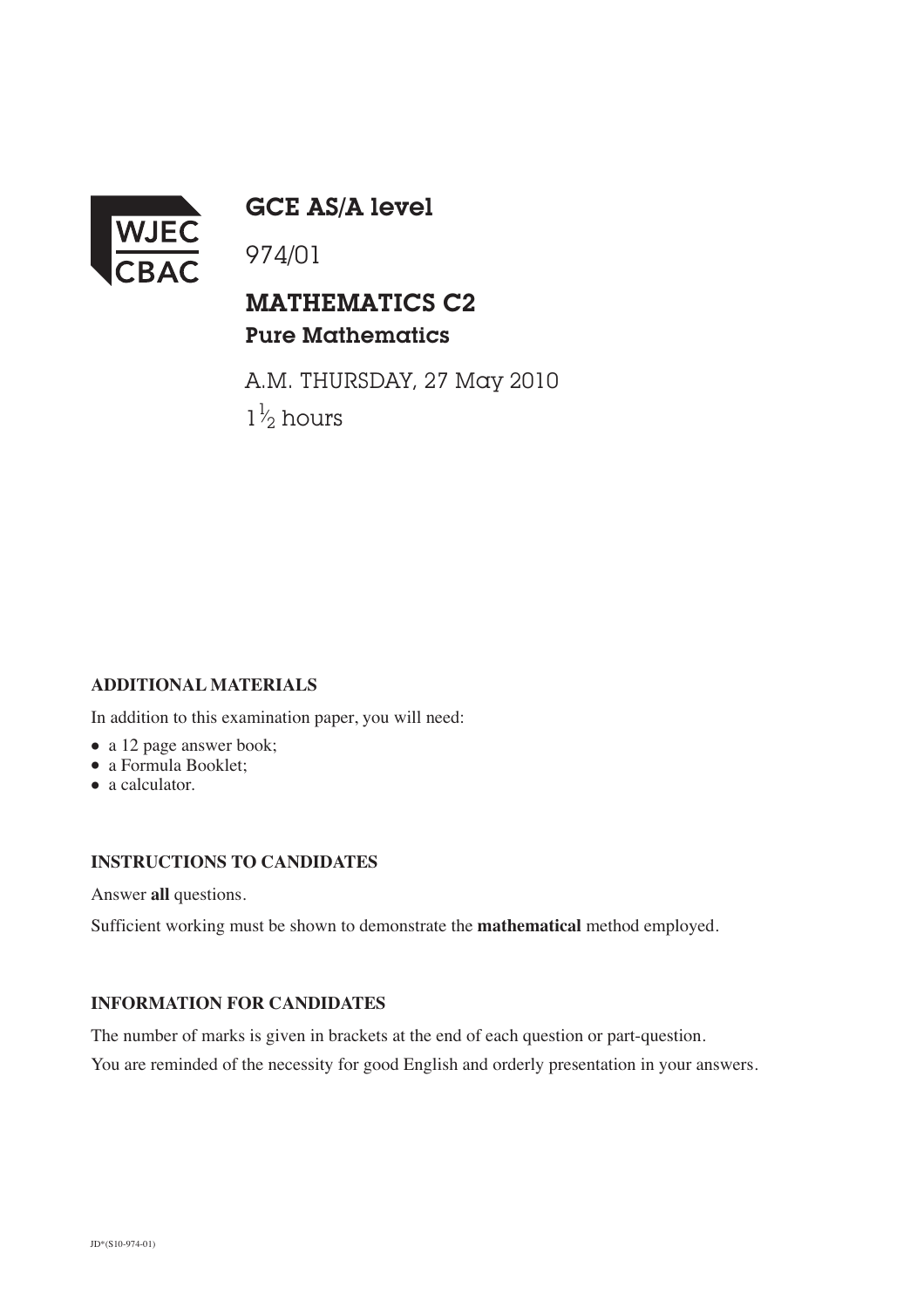

GCE AS/A level

974/01

## MATHEMATICS C2 Pure Mathematics

A.M. THURSDAY, 27 May 2010  $1\frac{1}{2}$  hours ⁄

### **ADDITIONAL MATERIALS**

In addition to this examination paper, you will need:

- a 12 page answer book;
- a Formula Booklet;
- a calculator.

### **INSTRUCTIONS TO CANDIDATES**

Answer **all** questions.

Sufficient working must be shown to demonstrate the **mathematical** method employed.

#### **INFORMATION FOR CANDIDATES**

The number of marks is given in brackets at the end of each question or part-question.

You are reminded of the necessity for good English and orderly presentation in your answers.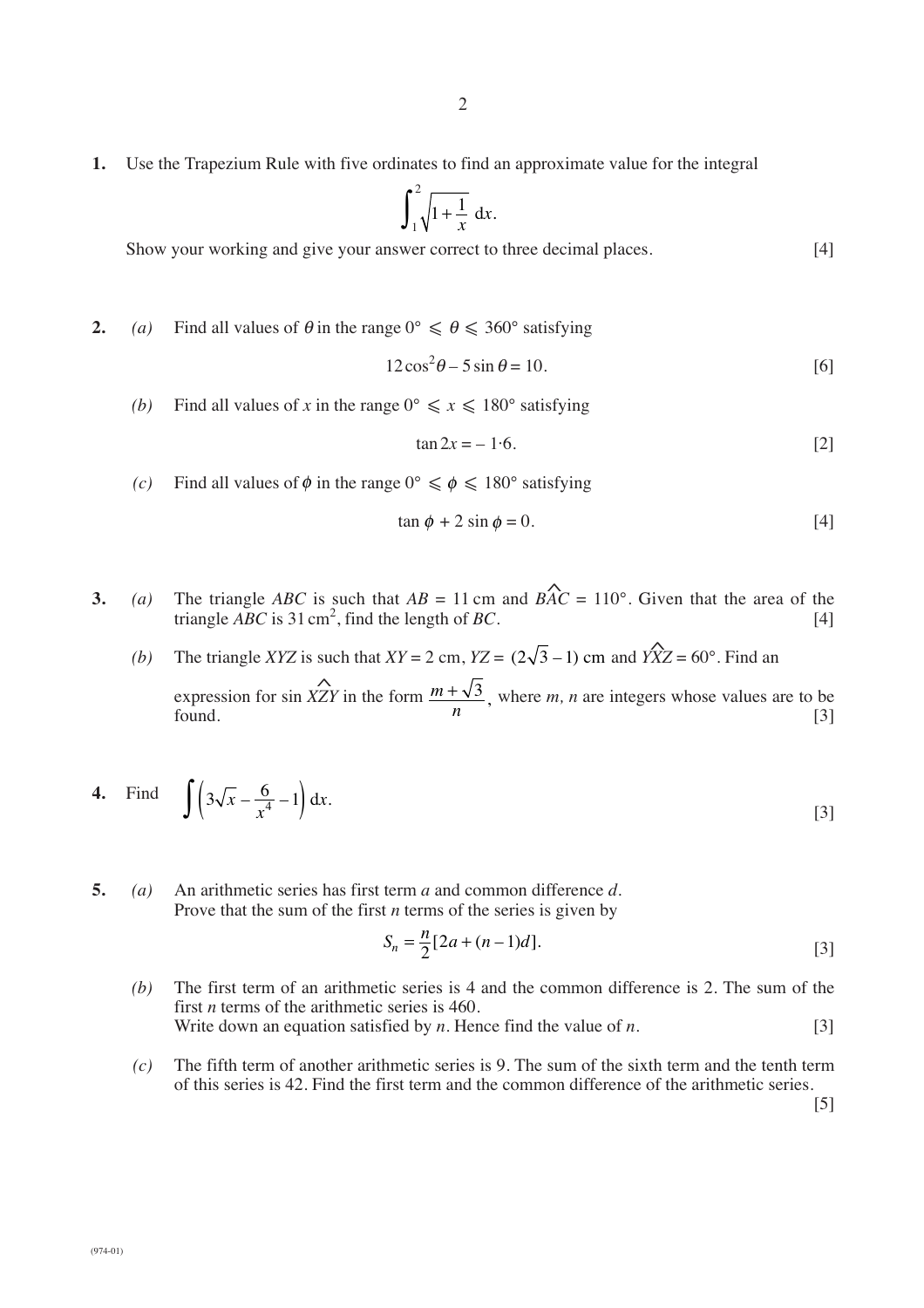**1.** Use the Trapezium Rule with five ordinates to find an approximate value for the integral

$$
\int_1^2 \sqrt{1 + \frac{1}{x}} \, \mathrm{d}x.
$$

Show your working and give your answer correct to three decimal places. [4]

**2.** *(a)* Find all values of  $\theta$  in the range  $0^{\circ} \le \theta \le 360^{\circ}$  satisfying

$$
12\cos^2\theta - 5\sin\theta = 10.\tag{6}
$$

*(b)* Find all values of *x* in the range  $0^{\circ} \le x \le 180^{\circ}$  satisfying

$$
\tan 2x = -1.6. \tag{2}
$$

(c) Find all values of  $\phi$  in the range  $0^{\circ} \le \phi \le 180^{\circ}$  satisfying

$$
\tan \phi + 2 \sin \phi = 0. \tag{4}
$$

- **3.** *(a)* The triangle *ABC* is such that  $AB = 11$  cm and  $BAC = 110^{\circ}$ . Given that the area of the triangle  $\angle ABC$  is 31 cm<sup>2</sup>, find the length of *BC*. [4]  $\lambda$  $\lambda$ 
	- *(b)* The triangle *XYZ* is such that  $XY = 2$  cm,  $YZ = (2\sqrt{3} 1)$  cm and  $YXZ = 60^\circ$ . Find an expression for sin *XZY* in the form  $\frac{m + \sqrt{3}}{m}$ , where *m*, *n* are integers whose values are to be found.  $n$  [3] ة.<br>^  $(2\sqrt{3} - 1)$  cm *m*  $\frac{+\sqrt{3}}{n}$ ,

4. Find 
$$
\int \left(3\sqrt{x} - \frac{6}{x^4} - 1\right) dx
$$
. [3]

**5.** *(a)* An arithmetic series has first term *a* and common difference *d*. Prove that the sum of the first *n* terms of the series is given by

$$
S_n = \frac{n}{2} [2a + (n-1)d].
$$
 [3]

- *(b)* The first term of an arithmetic series is 4 and the common difference is 2. The sum of the first *n* terms of the arithmetic series is 460. Write down an equation satisfied by *n*. Hence find the value of *n*. [3]
- *(c)* The fifth term of another arithmetic series is 9. The sum of the sixth term and the tenth term of this series is 42. Find the first term and the common difference of the arithmetic series.

[5]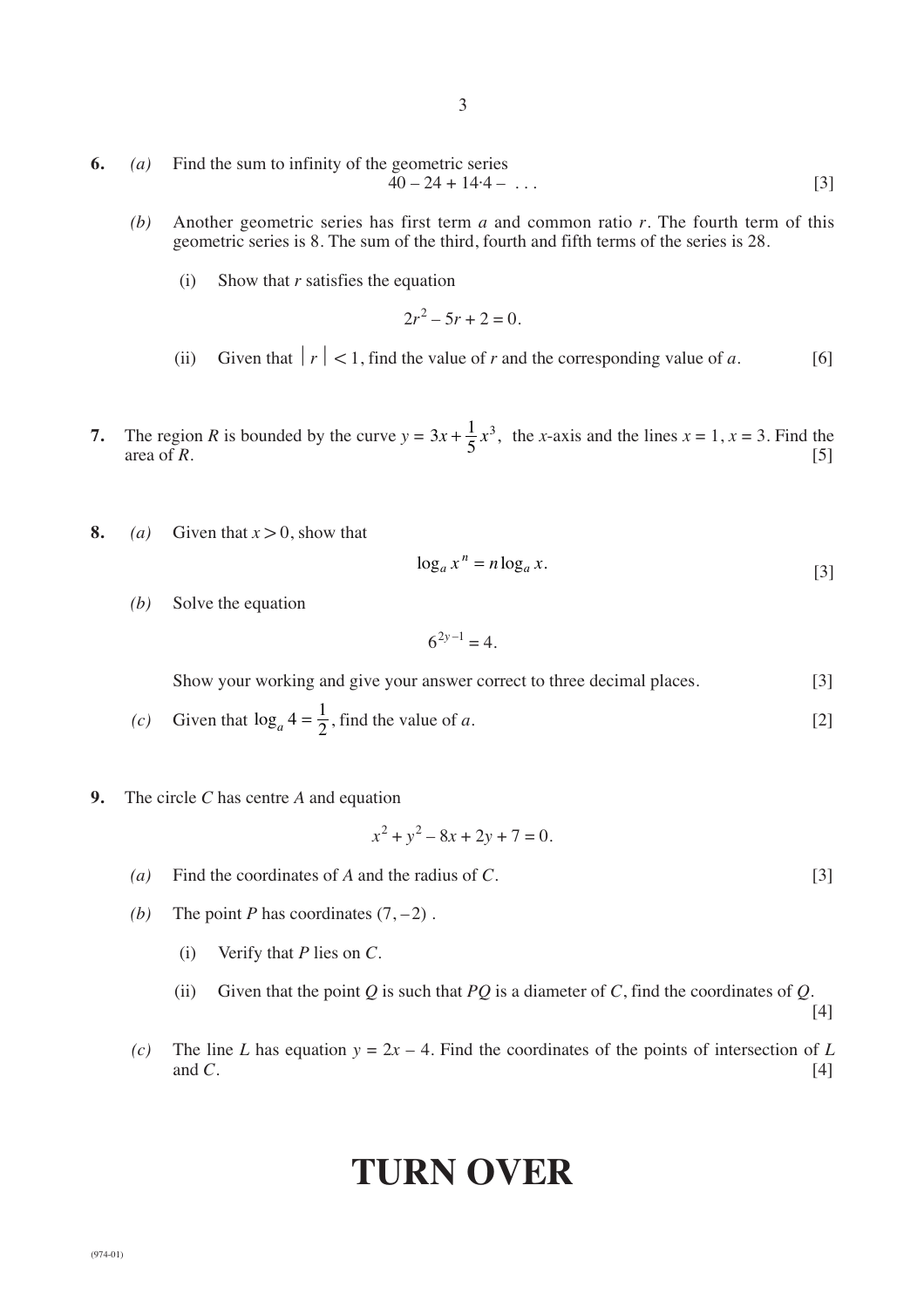3

- **6.** *(a)* Find the sum to infinity of the geometric series  $40 - 24 + 14.4 - \ldots$  [3]
	- *(b)* Another geometric series has first term *a* and common ratio *r*. The fourth term of this geometric series is 8. The sum of the third, fourth and fifth terms of the series is 28.
		- (i) Show that *r* satisfies the equation

$$
2r^2 - 5r + 2 = 0.
$$

- (ii) Given that  $|r| < 1$ , find the value of *r* and the corresponding value of *a*. [6]
- **7.** The region *R* is bounded by the curve  $y = 3x + \frac{1}{5}x^3$ , the *x*-axis and the lines  $x = 1$ ,  $x = 3$ . Find the area of  $R$ . [5]  $3x + \frac{1}{5}x^3$ ,
- **8.** *(a)* Given that  $x > 0$ , show that

$$
\log_a x^n = n \log_a x. \tag{3}
$$

*(b)* Solve the equation

 $6^{2y-1} - 4$ 

Show your working and give your answer correct to three decimal places. [3]

- (*c*) Given that  $\log_a 4 = \frac{1}{2}$ , find the value of *a*. [2]
- **9.** The circle *C* has centre *A* and equation

$$
x^2 + y^2 - 8x + 2y + 7 = 0.
$$

- *(a)* Find the coordinates of *A* and the radius of *C*. [3]
- *(b)* The point *P* has coordinates  $(7, -2)$ .
	- (i) Verify that *P* lies on *C*.
	- (ii) Given that the point  $Q$  is such that  $PQ$  is a diameter of  $C$ , find the coordinates of  $Q$ .

[4]

*(c)* The line *L* has equation  $y = 2x - 4$ . Find the coordinates of the points of intersection of *L* [4] and *C*.  $[4]$ 

# **TURN OVER**